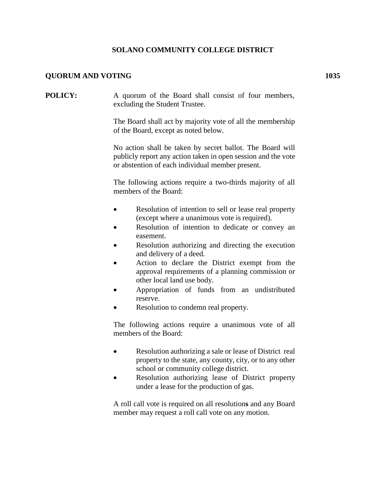## **SOLANO COMMUNITY COLLEGE DISTRICT**

## **QUORUM AND VOTING 1035**

**POLICY:** A quorum of the Board shall consist of four members, excluding the Student Trustee.

> The Board shall act by majority vote of all the membership of the Board, except as noted below.

> No action shall be taken by secret ballot. The Board will publicly report any action taken in open session and the vote or abstention of each individual member present.

> The following actions require a two-thirds majority of all members of the Board:

- Resolution of intention to sell or lease real property (except where a unanimous vote is required).
- Resolution of intention to dedicate or convey an easement.
- Resolution authorizing and directing the execution and delivery of a deed.
- Action to declare the District exempt from the approval requirements of a planning commission or other local land use body.
- Appropriation of funds from an undistributed reserve.
- Resolution to condemn real property.

The following actions require a unanimous vote of all members of the Board:

- Resolution authorizing a sale or lease of District real property to the state, any county, city, or to any other school or community college district.
- Resolution authorizing lease of District property under a lease for the production of gas.

A roll call vote is required on all resolution**s** and any Board member may request a roll call vote on any motion.